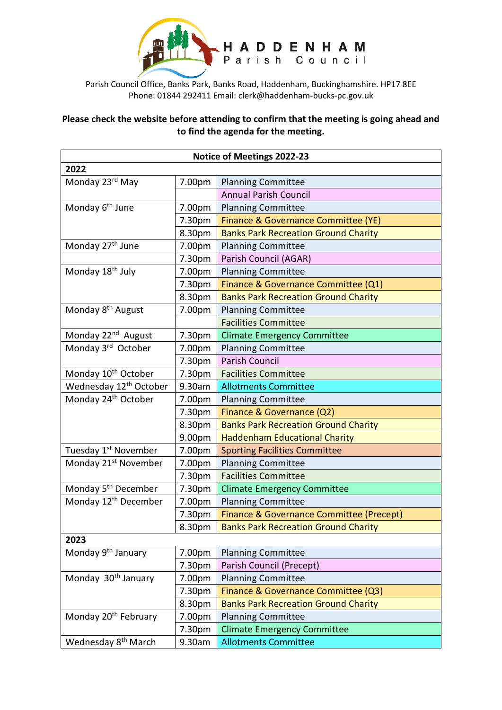

Parish Council Office, Banks Park, Banks Road, Haddenham, Buckinghamshire. HP17 8EE Phone: 01844 292411 Email: clerk@haddenham-bucks-pc.gov.uk

## **Please check the website before attending to confirm that the meeting is going ahead and to find the agenda for the meeting.**

| <b>Notice of Meetings 2022-23</b>  |        |                                             |  |  |
|------------------------------------|--------|---------------------------------------------|--|--|
| 2022                               |        |                                             |  |  |
| Monday 23rd May                    | 7.00pm | <b>Planning Committee</b>                   |  |  |
|                                    |        | <b>Annual Parish Council</b>                |  |  |
| Monday 6 <sup>th</sup> June        | 7.00pm | <b>Planning Committee</b>                   |  |  |
|                                    | 7.30pm | Finance & Governance Committee (YE)         |  |  |
|                                    | 8.30pm | <b>Banks Park Recreation Ground Charity</b> |  |  |
| Monday 27 <sup>th</sup> June       | 7.00pm | <b>Planning Committee</b>                   |  |  |
|                                    | 7.30pm | Parish Council (AGAR)                       |  |  |
| Monday 18 <sup>th</sup> July       | 7.00pm | <b>Planning Committee</b>                   |  |  |
|                                    | 7.30pm | Finance & Governance Committee (Q1)         |  |  |
|                                    | 8.30pm | <b>Banks Park Recreation Ground Charity</b> |  |  |
| Monday 8 <sup>th</sup> August      | 7.00pm | <b>Planning Committee</b>                   |  |  |
|                                    |        | <b>Facilities Committee</b>                 |  |  |
| Monday 22 <sup>nd</sup> August     | 7.30pm | <b>Climate Emergency Committee</b>          |  |  |
| Monday 3rd October                 | 7.00pm | <b>Planning Committee</b>                   |  |  |
|                                    | 7.30pm | <b>Parish Council</b>                       |  |  |
| Monday 10 <sup>th</sup> October    | 7.30pm | <b>Facilities Committee</b>                 |  |  |
| Wednesday 12 <sup>th</sup> October | 9.30am | <b>Allotments Committee</b>                 |  |  |
| Monday 24 <sup>th</sup> October    | 7.00pm | <b>Planning Committee</b>                   |  |  |
|                                    | 7.30pm | Finance & Governance (Q2)                   |  |  |
|                                    | 8.30pm | <b>Banks Park Recreation Ground Charity</b> |  |  |
|                                    | 9.00pm | <b>Haddenham Educational Charity</b>        |  |  |
| Tuesday 1 <sup>st</sup> November   | 7.00pm | <b>Sporting Facilities Committee</b>        |  |  |
| Monday 21 <sup>st</sup> November   | 7.00pm | <b>Planning Committee</b>                   |  |  |
|                                    | 7.30pm | <b>Facilities Committee</b>                 |  |  |
| Monday 5 <sup>th</sup> December    | 7.30pm | <b>Climate Emergency Committee</b>          |  |  |
| Monday 12 <sup>th</sup> December   | 7.00pm | <b>Planning Committee</b>                   |  |  |
|                                    | 7.30pm | Finance & Governance Committee (Precept)    |  |  |
|                                    | 8.30pm | <b>Banks Park Recreation Ground Charity</b> |  |  |
| 2023                               |        |                                             |  |  |
| Monday 9 <sup>th</sup> January     | 7.00pm | <b>Planning Committee</b>                   |  |  |
|                                    | 7.30pm | Parish Council (Precept)                    |  |  |
| Monday 30 <sup>th</sup> January    | 7.00pm | <b>Planning Committee</b>                   |  |  |
|                                    | 7.30pm | Finance & Governance Committee (Q3)         |  |  |
|                                    | 8.30pm | <b>Banks Park Recreation Ground Charity</b> |  |  |
| Monday 20 <sup>th</sup> February   | 7.00pm | <b>Planning Committee</b>                   |  |  |
|                                    | 7.30pm | <b>Climate Emergency Committee</b>          |  |  |
| Wednesday 8 <sup>th</sup> March    | 9.30am | <b>Allotments Committee</b>                 |  |  |